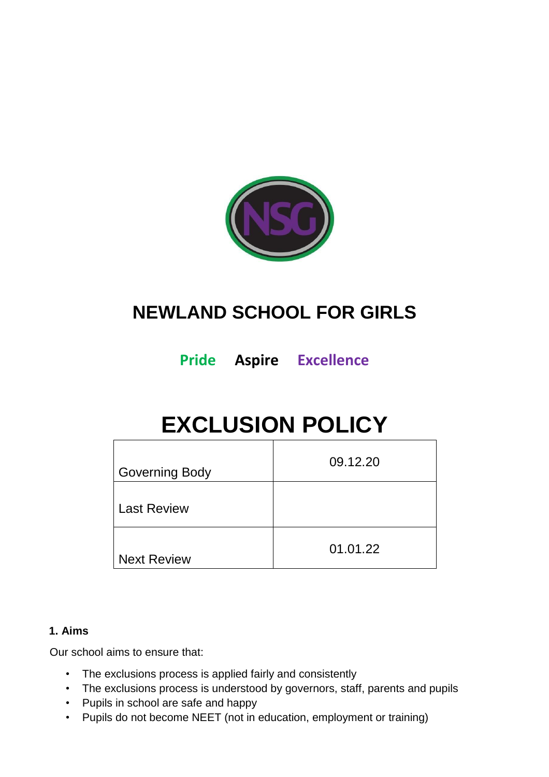

# **NEWLAND SCHOOL FOR GIRLS**

**Pride Aspire Excellence**

# **EXCLUSION POLICY**

| <b>Governing Body</b> | 09.12.20 |
|-----------------------|----------|
| <b>Last Review</b>    |          |
| <b>Next Review</b>    | 01.01.22 |

#### **1. Aims**

Our school aims to ensure that:

- The exclusions process is applied fairly and consistently
- The exclusions process is understood by governors, staff, parents and pupils
- Pupils in school are safe and happy
- Pupils do not become NEET (not in education, employment or training)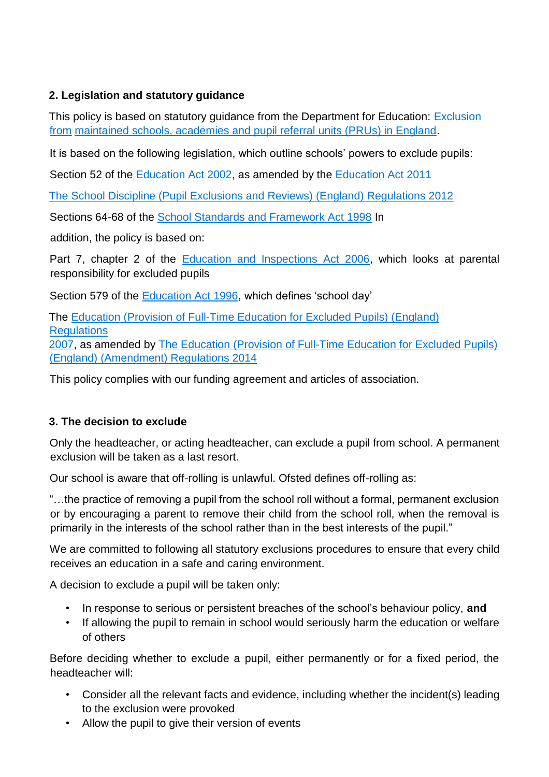# **2. Legislation and statutory guidance**

This policy is based on statutory guidance from the Department for Education: [Exclusion](https://www.gov.uk/government/publications/school-exclusion)  [from](https://www.gov.uk/government/publications/school-exclusion) [maintained schools, academies and pupil referral units \(PRUs\) in England.](https://www.gov.uk/government/publications/school-exclusion) 

It is based on the following legislation, which outline schools' powers to exclude pupils:

Section 52 of the [Education Act 2002,](http://www.legislation.gov.uk/ukpga/2002/32/section/52) as amended by the [Education Act 2011](http://www.legislation.gov.uk/ukpga/2011/21/contents/enacted)

[The School Discipline \(Pupil Exclusions and Reviews\) \(England\) Regulations 2012](http://www.legislation.gov.uk/uksi/2012/1033/made)

Sections 64-68 of the [School Standards and Framework Act 1998](http://www.legislation.gov.uk/ukpga/1998/31) In

addition, the policy is based on:

Part 7, chapter 2 of the [Education and Inspections Act 2006,](http://www.legislation.gov.uk/ukpga/2006/40/part/7/chapter/2) which looks at parental responsibility for excluded pupils

Section 579 of the [Education Act 1996,](http://www.legislation.gov.uk/ukpga/1996/56/section/579) which defines 'school day'

The [Education \(Provision of Full-Time Education for Excluded Pupils\) \(England\)](http://www.legislation.gov.uk/uksi/2007/1870/contents/made)  **[Regulations](http://www.legislation.gov.uk/uksi/2007/1870/contents/made)** [2007,](http://www.legislation.gov.uk/uksi/2007/1870/contents/made) as amended by [The Education \(Provision of Full-Time Education for Excluded Pupils\)](http://www.legislation.gov.uk/uksi/2014/3216/contents/made)

[\(England\) \(Amendment\) Regulations 2014](http://www.legislation.gov.uk/uksi/2014/3216/contents/made)

This policy complies with our funding agreement and articles of association.

# **3. The decision to exclude**

Only the headteacher, or acting headteacher, can exclude a pupil from school. A permanent exclusion will be taken as a last resort.

Our school is aware that off-rolling is unlawful. Ofsted defines off-rolling as:

"…the practice of removing a pupil from the school roll without a formal, permanent exclusion or by encouraging a parent to remove their child from the school roll, when the removal is primarily in the interests of the school rather than in the best interests of the pupil."

We are committed to following all statutory exclusions procedures to ensure that every child receives an education in a safe and caring environment.

A decision to exclude a pupil will be taken only:

- In response to serious or persistent breaches of the school's behaviour policy, **and**
- If allowing the pupil to remain in school would seriously harm the education or welfare of others

Before deciding whether to exclude a pupil, either permanently or for a fixed period, the headteacher will:

- Consider all the relevant facts and evidence, including whether the incident(s) leading to the exclusion were provoked
- Allow the pupil to give their version of events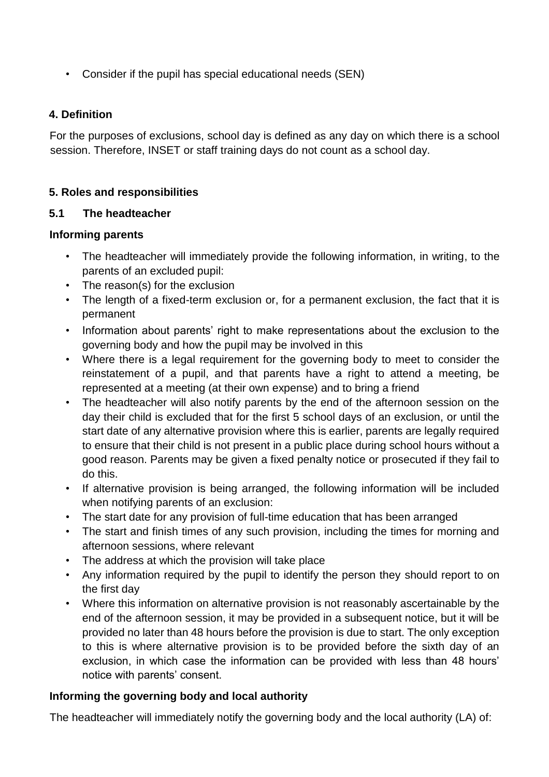• Consider if the pupil has special educational needs (SEN)

#### **4. Definition**

For the purposes of exclusions, school day is defined as any day on which there is a school session. Therefore, INSET or staff training days do not count as a school day.

#### **5. Roles and responsibilities**

#### **5.1 The headteacher**

#### **Informing parents**

- The headteacher will immediately provide the following information, in writing, to the parents of an excluded pupil:
- The reason(s) for the exclusion
- The length of a fixed-term exclusion or, for a permanent exclusion, the fact that it is permanent
- Information about parents' right to make representations about the exclusion to the governing body and how the pupil may be involved in this
- Where there is a legal requirement for the governing body to meet to consider the reinstatement of a pupil, and that parents have a right to attend a meeting, be represented at a meeting (at their own expense) and to bring a friend
- The headteacher will also notify parents by the end of the afternoon session on the day their child is excluded that for the first 5 school days of an exclusion, or until the start date of any alternative provision where this is earlier, parents are legally required to ensure that their child is not present in a public place during school hours without a good reason. Parents may be given a fixed penalty notice or prosecuted if they fail to do this.
- If alternative provision is being arranged, the following information will be included when notifying parents of an exclusion:
- The start date for any provision of full-time education that has been arranged
- The start and finish times of any such provision, including the times for morning and afternoon sessions, where relevant
- The address at which the provision will take place
- Any information required by the pupil to identify the person they should report to on the first day
- Where this information on alternative provision is not reasonably ascertainable by the end of the afternoon session, it may be provided in a subsequent notice, but it will be provided no later than 48 hours before the provision is due to start. The only exception to this is where alternative provision is to be provided before the sixth day of an exclusion, in which case the information can be provided with less than 48 hours' notice with parents' consent.

#### **Informing the governing body and local authority**

The headteacher will immediately notify the governing body and the local authority (LA) of: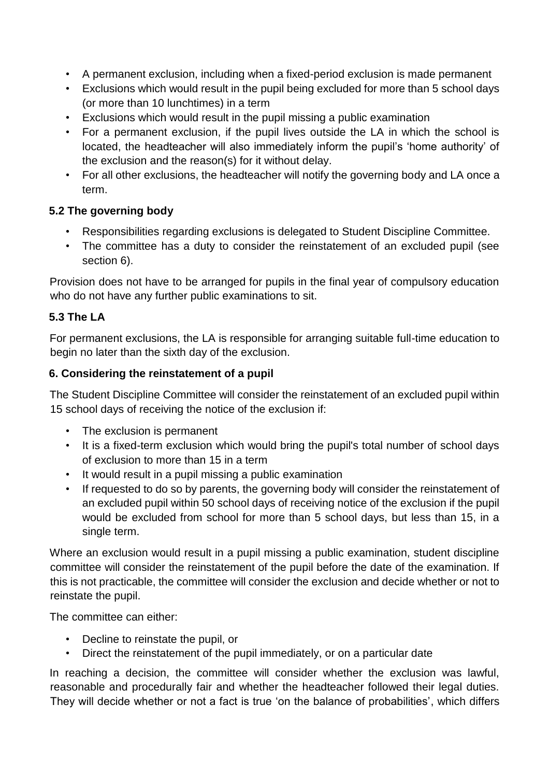- A permanent exclusion, including when a fixed-period exclusion is made permanent
- Exclusions which would result in the pupil being excluded for more than 5 school days (or more than 10 lunchtimes) in a term
- Exclusions which would result in the pupil missing a public examination
- For a permanent exclusion, if the pupil lives outside the LA in which the school is located, the headteacher will also immediately inform the pupil's 'home authority' of the exclusion and the reason(s) for it without delay.
- For all other exclusions, the headteacher will notify the governing body and LA once a term.

#### **5.2 The governing body**

- Responsibilities regarding exclusions is delegated to Student Discipline Committee.
- The committee has a duty to consider the reinstatement of an excluded pupil (see section 6).

Provision does not have to be arranged for pupils in the final year of compulsory education who do not have any further public examinations to sit.

#### **5.3 The LA**

For permanent exclusions, the LA is responsible for arranging suitable full-time education to begin no later than the sixth day of the exclusion.

#### **6. Considering the reinstatement of a pupil**

The Student Discipline Committee will consider the reinstatement of an excluded pupil within 15 school days of receiving the notice of the exclusion if:

- The exclusion is permanent
- It is a fixed-term exclusion which would bring the pupil's total number of school days of exclusion to more than 15 in a term
- It would result in a pupil missing a public examination
- If requested to do so by parents, the governing body will consider the reinstatement of an excluded pupil within 50 school days of receiving notice of the exclusion if the pupil would be excluded from school for more than 5 school days, but less than 15, in a single term.

Where an exclusion would result in a pupil missing a public examination, student discipline committee will consider the reinstatement of the pupil before the date of the examination. If this is not practicable, the committee will consider the exclusion and decide whether or not to reinstate the pupil.

The committee can either:

- Decline to reinstate the pupil, or
- Direct the reinstatement of the pupil immediately, or on a particular date

In reaching a decision, the committee will consider whether the exclusion was lawful, reasonable and procedurally fair and whether the headteacher followed their legal duties. They will decide whether or not a fact is true 'on the balance of probabilities', which differs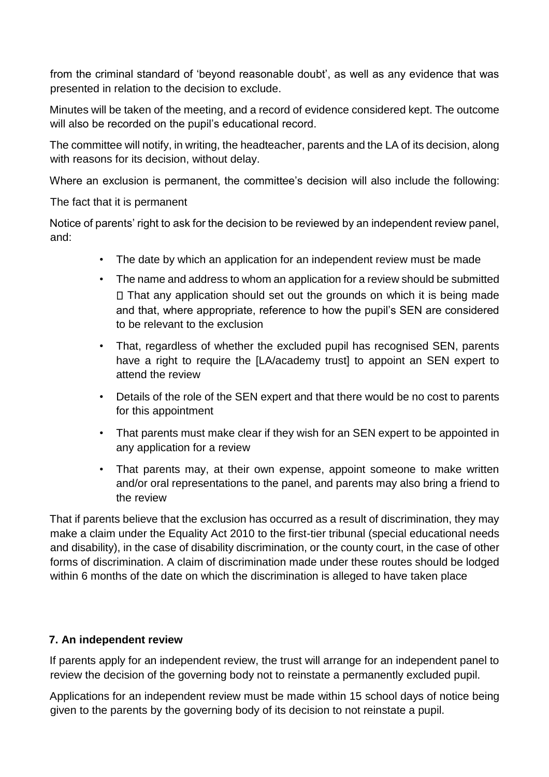from the criminal standard of 'beyond reasonable doubt', as well as any evidence that was presented in relation to the decision to exclude.

Minutes will be taken of the meeting, and a record of evidence considered kept. The outcome will also be recorded on the pupil's educational record.

The committee will notify, in writing, the headteacher, parents and the LA of its decision, along with reasons for its decision, without delay.

Where an exclusion is permanent, the committee's decision will also include the following:

The fact that it is permanent

Notice of parents' right to ask for the decision to be reviewed by an independent review panel, and:

- The date by which an application for an independent review must be made
- The name and address to whom an application for a review should be submitted  $\Box$  That any application should set out the grounds on which it is being made and that, where appropriate, reference to how the pupil's SEN are considered to be relevant to the exclusion
- That, regardless of whether the excluded pupil has recognised SEN, parents have a right to require the [LA/academy trust] to appoint an SEN expert to attend the review
- Details of the role of the SEN expert and that there would be no cost to parents for this appointment
- That parents must make clear if they wish for an SEN expert to be appointed in any application for a review
- That parents may, at their own expense, appoint someone to make written and/or oral representations to the panel, and parents may also bring a friend to the review

That if parents believe that the exclusion has occurred as a result of discrimination, they may make a claim under the Equality Act 2010 to the first-tier tribunal (special educational needs and disability), in the case of disability discrimination, or the county court, in the case of other forms of discrimination. A claim of discrimination made under these routes should be lodged within 6 months of the date on which the discrimination is alleged to have taken place

#### **7. An independent review**

If parents apply for an independent review, the trust will arrange for an independent panel to review the decision of the governing body not to reinstate a permanently excluded pupil.

Applications for an independent review must be made within 15 school days of notice being given to the parents by the governing body of its decision to not reinstate a pupil.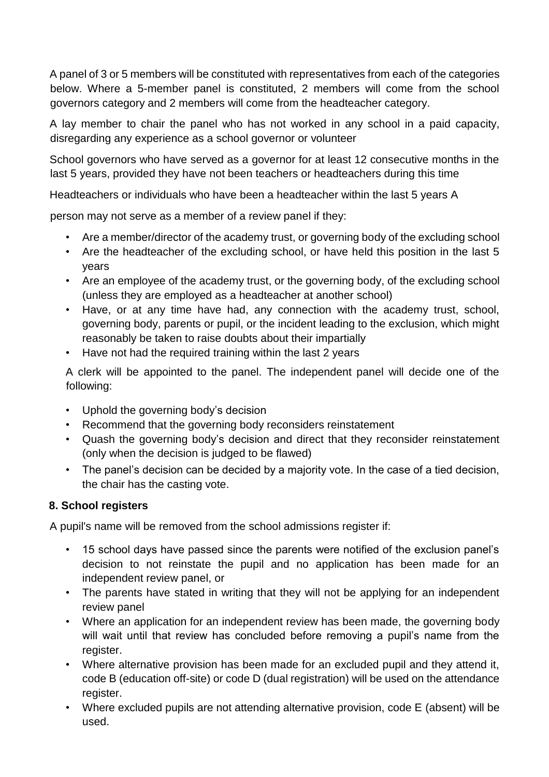A panel of 3 or 5 members will be constituted with representatives from each of the categories below. Where a 5-member panel is constituted, 2 members will come from the school governors category and 2 members will come from the headteacher category.

A lay member to chair the panel who has not worked in any school in a paid capacity, disregarding any experience as a school governor or volunteer

School governors who have served as a governor for at least 12 consecutive months in the last 5 years, provided they have not been teachers or headteachers during this time

Headteachers or individuals who have been a headteacher within the last 5 years A

person may not serve as a member of a review panel if they:

- Are a member/director of the academy trust, or governing body of the excluding school
- Are the headteacher of the excluding school, or have held this position in the last 5 years
- Are an employee of the academy trust, or the governing body, of the excluding school (unless they are employed as a headteacher at another school)
- Have, or at any time have had, any connection with the academy trust, school, governing body, parents or pupil, or the incident leading to the exclusion, which might reasonably be taken to raise doubts about their impartially
- Have not had the required training within the last 2 years

A clerk will be appointed to the panel. The independent panel will decide one of the following:

- Uphold the governing body's decision
- Recommend that the governing body reconsiders reinstatement
- Quash the governing body's decision and direct that they reconsider reinstatement (only when the decision is judged to be flawed)
- The panel's decision can be decided by a majority vote. In the case of a tied decision, the chair has the casting vote.

# **8. School registers**

A pupil's name will be removed from the school admissions register if:

- 15 school days have passed since the parents were notified of the exclusion panel's decision to not reinstate the pupil and no application has been made for an independent review panel, or
- The parents have stated in writing that they will not be applying for an independent review panel
- Where an application for an independent review has been made, the governing body will wait until that review has concluded before removing a pupil's name from the register.
- Where alternative provision has been made for an excluded pupil and they attend it, code B (education off-site) or code D (dual registration) will be used on the attendance register.
- Where excluded pupils are not attending alternative provision, code E (absent) will be used.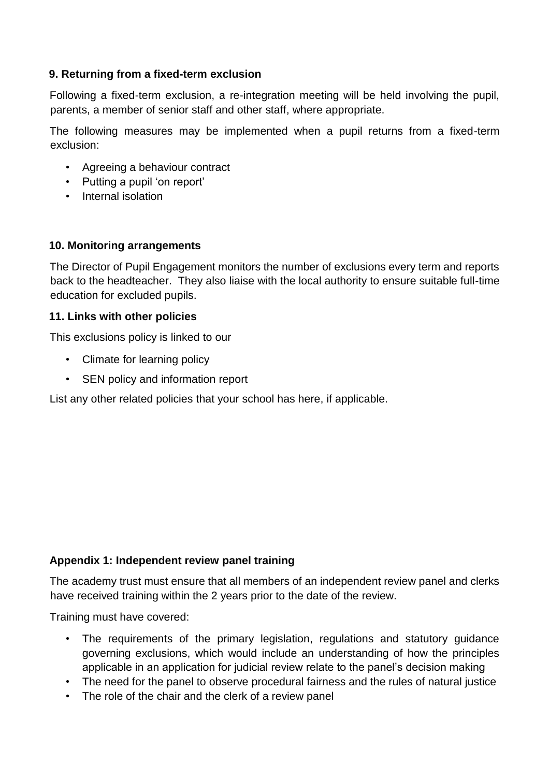#### **9. Returning from a fixed-term exclusion**

Following a fixed-term exclusion, a re-integration meeting will be held involving the pupil, parents, a member of senior staff and other staff, where appropriate.

The following measures may be implemented when a pupil returns from a fixed-term exclusion:

- Agreeing a behaviour contract
- Putting a pupil 'on report'
- Internal isolation

#### **10. Monitoring arrangements**

The Director of Pupil Engagement monitors the number of exclusions every term and reports back to the headteacher. They also liaise with the local authority to ensure suitable full-time education for excluded pupils.

#### **11. Links with other policies**

This exclusions policy is linked to our

- Climate for learning policy
- SEN policy and information report

List any other related policies that your school has here, if applicable.

#### **Appendix 1: Independent review panel training**

The academy trust must ensure that all members of an independent review panel and clerks have received training within the 2 years prior to the date of the review.

Training must have covered:

- The requirements of the primary legislation, regulations and statutory guidance governing exclusions, which would include an understanding of how the principles applicable in an application for judicial review relate to the panel's decision making
- The need for the panel to observe procedural fairness and the rules of natural justice
- The role of the chair and the clerk of a review panel